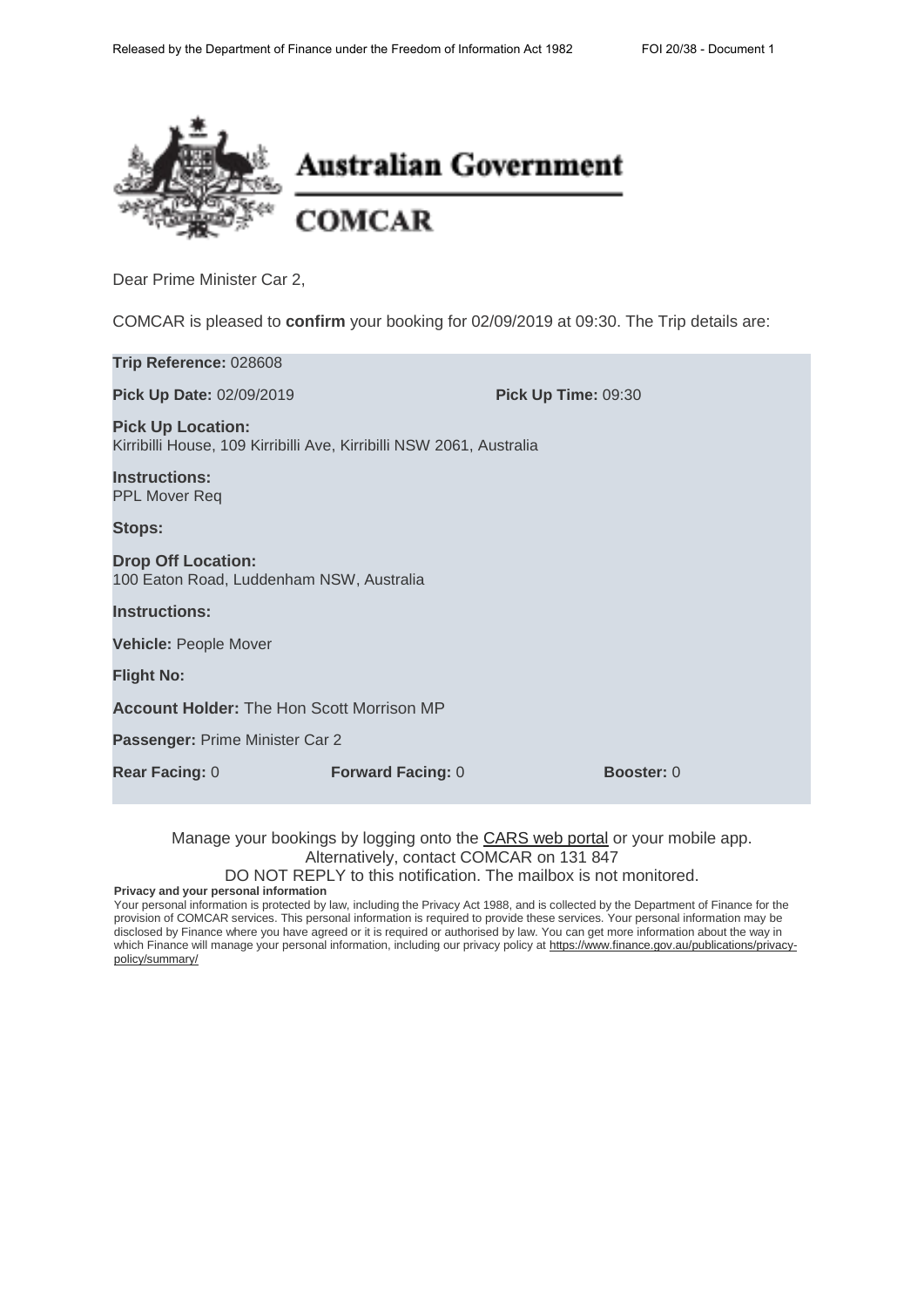

COMCAR is pleased to **confirm** your booking for 02/09/2019 at 09:30. The Trip details are:

| Trip Reference: 028608                                                                           |                          |                     |  |
|--------------------------------------------------------------------------------------------------|--------------------------|---------------------|--|
| Pick Up Date: 02/09/2019                                                                         |                          | Pick Up Time: 09:30 |  |
| <b>Pick Up Location:</b><br>Kirribilli House, 109 Kirribilli Ave, Kirribilli NSW 2061, Australia |                          |                     |  |
| <b>Instructions:</b><br><b>PPL Mover Req</b>                                                     |                          |                     |  |
| <b>Stops:</b>                                                                                    |                          |                     |  |
| <b>Drop Off Location:</b><br>100 Eaton Road, Luddenham NSW, Australia                            |                          |                     |  |
| <b>Instructions:</b>                                                                             |                          |                     |  |
| <b>Vehicle: People Mover</b>                                                                     |                          |                     |  |
| <b>Flight No:</b>                                                                                |                          |                     |  |
| <b>Account Holder: The Hon Scott Morrison MP</b>                                                 |                          |                     |  |
| Passenger: Prime Minister Car 2                                                                  |                          |                     |  |
| <b>Rear Facing: 0</b>                                                                            | <b>Forward Facing: 0</b> | <b>Booster: 0</b>   |  |

Manage your bookings by logging onto the CARS web portal or your mobile app. Alternatively, contact COMCAR on 131 847

DO NOT REPLY to this notification. The mailbox is not monitored.

**Privacy and your personal information**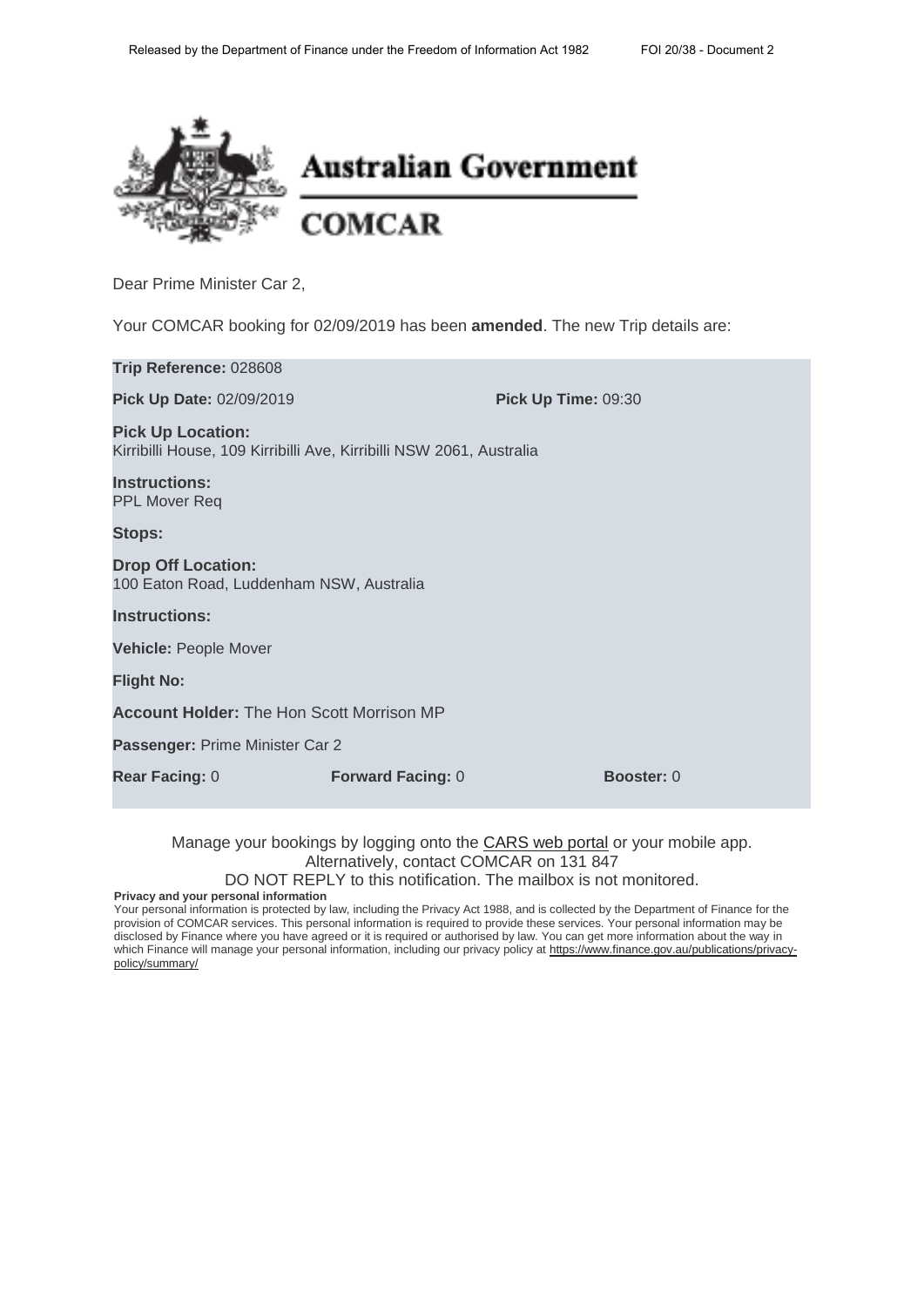

Your COMCAR booking for 02/09/2019 has been **amended**. The new Trip details are:

| Trip Reference: 028608                                                                           |                          |                     |  |
|--------------------------------------------------------------------------------------------------|--------------------------|---------------------|--|
| Pick Up Date: 02/09/2019                                                                         |                          | Pick Up Time: 09:30 |  |
| <b>Pick Up Location:</b><br>Kirribilli House, 109 Kirribilli Ave, Kirribilli NSW 2061, Australia |                          |                     |  |
| <b>Instructions:</b><br><b>PPL Mover Req</b>                                                     |                          |                     |  |
| <b>Stops:</b>                                                                                    |                          |                     |  |
| <b>Drop Off Location:</b><br>100 Eaton Road, Luddenham NSW, Australia                            |                          |                     |  |
| <b>Instructions:</b>                                                                             |                          |                     |  |
| <b>Vehicle: People Mover</b>                                                                     |                          |                     |  |
| <b>Flight No:</b>                                                                                |                          |                     |  |
| <b>Account Holder: The Hon Scott Morrison MP</b>                                                 |                          |                     |  |
| Passenger: Prime Minister Car 2                                                                  |                          |                     |  |
| <b>Rear Facing: 0</b>                                                                            | <b>Forward Facing: 0</b> | <b>Booster: 0</b>   |  |

Manage your bookings by logging onto the CARS web portal or your mobile app. Alternatively, contact COMCAR on 131 847

DO NOT REPLY to this notification. The mailbox is not monitored.

**Privacy and your personal information**

Your personal information is protected by law, including the Privacy Act 1988, and is collected by the Department of Finance for the provision of COMCAR services. This personal information is required to provide these services. Your personal information may be disclosed by Finance where you have agreed or it is required or authorised by law. You can get more information about the way in which Finance will manage your personal information, including our privacy policy at https://www.finance.gov.au/publications/privacypolicy/summary/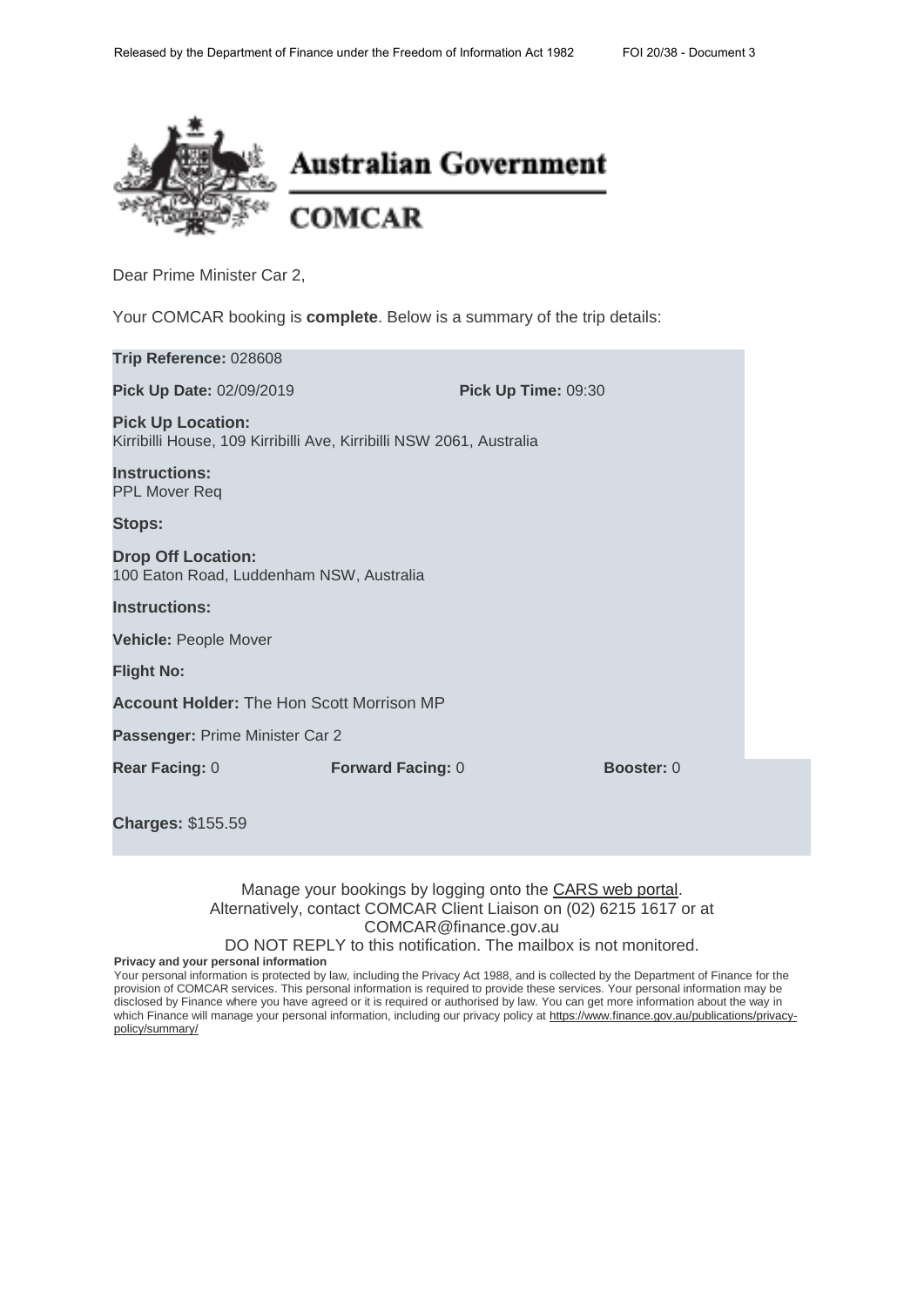

Your COMCAR booking is **complete**. Below is a summary of the trip details:

| Trip Reference: 028608                                                                           |                          |                   |  |
|--------------------------------------------------------------------------------------------------|--------------------------|-------------------|--|
| Pick Up Date: 02/09/2019                                                                         | Pick Up Time: 09:30      |                   |  |
| <b>Pick Up Location:</b><br>Kirribilli House, 109 Kirribilli Ave, Kirribilli NSW 2061, Australia |                          |                   |  |
| <b>Instructions:</b><br><b>PPL Mover Req</b>                                                     |                          |                   |  |
| <b>Stops:</b>                                                                                    |                          |                   |  |
| <b>Drop Off Location:</b><br>100 Eaton Road, Luddenham NSW, Australia                            |                          |                   |  |
| <b>Instructions:</b>                                                                             |                          |                   |  |
| <b>Vehicle: People Mover</b>                                                                     |                          |                   |  |
| <b>Flight No:</b>                                                                                |                          |                   |  |
| <b>Account Holder: The Hon Scott Morrison MP</b>                                                 |                          |                   |  |
| Passenger: Prime Minister Car 2                                                                  |                          |                   |  |
| <b>Rear Facing: 0</b>                                                                            | <b>Forward Facing: 0</b> | <b>Booster: 0</b> |  |
|                                                                                                  |                          |                   |  |
| <b>Charges: \$155.59</b>                                                                         |                          |                   |  |

## Manage your bookings by logging onto the CARS web portal. Alternatively, contact COMCAR Client Liaison on (02) 6215 1617 or at COMCAR@finance.gov.au

DO NOT REPLY to this notification. The mailbox is not monitored.

**Privacy and your personal information**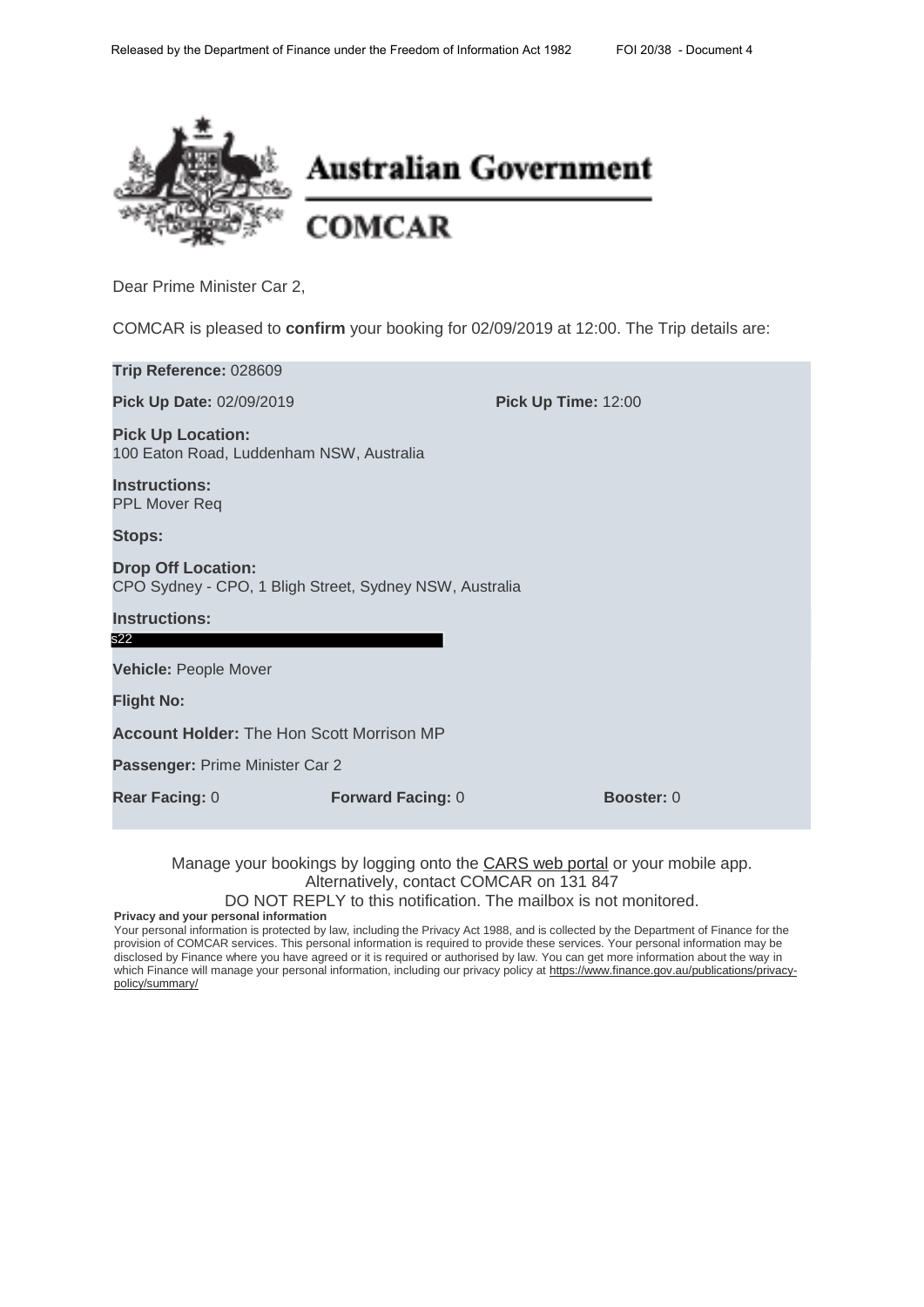

COMCAR is pleased to **confirm** your booking for 02/09/2019 at 12:00. The Trip details are:

| Trip Reference: 028609                                                               |                          |                            |  |
|--------------------------------------------------------------------------------------|--------------------------|----------------------------|--|
| Pick Up Date: 02/09/2019                                                             |                          | <b>Pick Up Time: 12:00</b> |  |
| <b>Pick Up Location:</b><br>100 Eaton Road, Luddenham NSW, Australia                 |                          |                            |  |
| <b>Instructions:</b><br><b>PPL Mover Req</b>                                         |                          |                            |  |
| <b>Stops:</b>                                                                        |                          |                            |  |
| <b>Drop Off Location:</b><br>CPO Sydney - CPO, 1 Bligh Street, Sydney NSW, Australia |                          |                            |  |
| <b>Instructions:</b>                                                                 |                          |                            |  |
| s22                                                                                  |                          |                            |  |
| <b>Vehicle: People Mover</b>                                                         |                          |                            |  |
| <b>Flight No:</b>                                                                    |                          |                            |  |
| <b>Account Holder: The Hon Scott Morrison MP</b>                                     |                          |                            |  |
| Passenger: Prime Minister Car 2                                                      |                          |                            |  |
| <b>Rear Facing: 0</b>                                                                | <b>Forward Facing: 0</b> | <b>Booster: 0</b>          |  |

Manage your bookings by logging onto the **CARS web portal** or your mobile app. Alternatively, contact COMCAR on 131 847

DO NOT REPLY to this notification. The mailbox is not monitored.

**Privacy and your personal information**